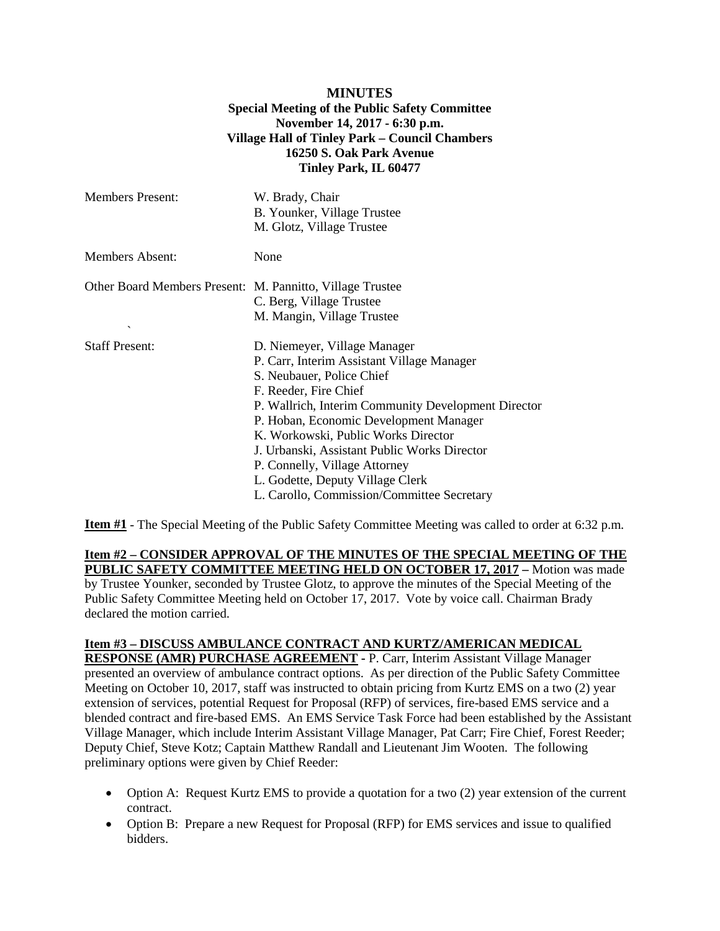## **MINUTES Special Meeting of the Public Safety Committee November 14, 2017 - 6:30 p.m. Village Hall of Tinley Park – Council Chambers 16250 S. Oak Park Avenue Tinley Park, IL 60477**

| <b>Members Present:</b>                                                   | W. Brady, Chair<br>B. Younker, Village Trustee<br>M. Glotz, Village Trustee                                                                                                                                                                                                                                                                                                                                                                 |
|---------------------------------------------------------------------------|---------------------------------------------------------------------------------------------------------------------------------------------------------------------------------------------------------------------------------------------------------------------------------------------------------------------------------------------------------------------------------------------------------------------------------------------|
| Members Absent:                                                           | None                                                                                                                                                                                                                                                                                                                                                                                                                                        |
| Other Board Members Present: M. Pannitto, Village Trustee<br>$\checkmark$ | C. Berg, Village Trustee<br>M. Mangin, Village Trustee                                                                                                                                                                                                                                                                                                                                                                                      |
| <b>Staff Present:</b>                                                     | D. Niemeyer, Village Manager<br>P. Carr, Interim Assistant Village Manager<br>S. Neubauer, Police Chief<br>F. Reeder, Fire Chief<br>P. Wallrich, Interim Community Development Director<br>P. Hoban, Economic Development Manager<br>K. Workowski, Public Works Director<br>J. Urbanski, Assistant Public Works Director<br>P. Connelly, Village Attorney<br>L. Godette, Deputy Village Clerk<br>L. Carollo, Commission/Committee Secretary |

**Item #1** - The Special Meeting of the Public Safety Committee Meeting was called to order at 6:32 p.m.

**Item #2 – CONSIDER APPROVAL OF THE MINUTES OF THE SPECIAL MEETING OF THE PUBLIC SAFETY COMMITTEE MEETING HELD ON OCTOBER 17, 2017 –** Motion was made by Trustee Younker, seconded by Trustee Glotz, to approve the minutes of the Special Meeting of the Public Safety Committee Meeting held on October 17, 2017. Vote by voice call. Chairman Brady declared the motion carried.

## **Item #3 – DISCUSS AMBULANCE CONTRACT AND KURTZ/AMERICAN MEDICAL**

**RESPONSE (AMR) PURCHASE AGREEMENT -** P. Carr, Interim Assistant Village Manager presented an overview of ambulance contract options. As per direction of the Public Safety Committee Meeting on October 10, 2017, staff was instructed to obtain pricing from Kurtz EMS on a two (2) year extension of services, potential Request for Proposal (RFP) of services, fire-based EMS service and a blended contract and fire-based EMS. An EMS Service Task Force had been established by the Assistant Village Manager, which include Interim Assistant Village Manager, Pat Carr; Fire Chief, Forest Reeder; Deputy Chief, Steve Kotz; Captain Matthew Randall and Lieutenant Jim Wooten. The following preliminary options were given by Chief Reeder:

- Option A: Request Kurtz EMS to provide a quotation for a two (2) year extension of the current contract.
- Option B: Prepare a new Request for Proposal (RFP) for EMS services and issue to qualified bidders.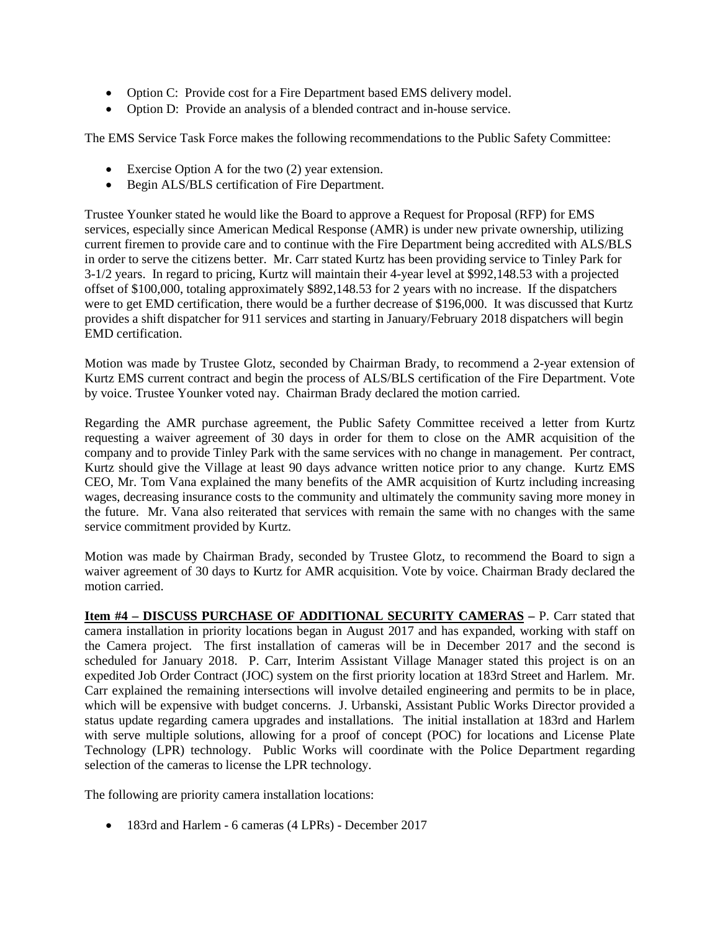- Option C: Provide cost for a Fire Department based EMS delivery model.
- Option D: Provide an analysis of a blended contract and in-house service.

The EMS Service Task Force makes the following recommendations to the Public Safety Committee:

- Exercise Option A for the two (2) year extension.
- Begin ALS/BLS certification of Fire Department.

Trustee Younker stated he would like the Board to approve a Request for Proposal (RFP) for EMS services, especially since American Medical Response (AMR) is under new private ownership, utilizing current firemen to provide care and to continue with the Fire Department being accredited with ALS/BLS in order to serve the citizens better. Mr. Carr stated Kurtz has been providing service to Tinley Park for 3-1/2 years. In regard to pricing, Kurtz will maintain their 4-year level at \$992,148.53 with a projected offset of \$100,000, totaling approximately \$892,148.53 for 2 years with no increase. If the dispatchers were to get EMD certification, there would be a further decrease of \$196,000. It was discussed that Kurtz provides a shift dispatcher for 911 services and starting in January/February 2018 dispatchers will begin EMD certification.

Motion was made by Trustee Glotz, seconded by Chairman Brady, to recommend a 2-year extension of Kurtz EMS current contract and begin the process of ALS/BLS certification of the Fire Department. Vote by voice. Trustee Younker voted nay. Chairman Brady declared the motion carried.

Regarding the AMR purchase agreement, the Public Safety Committee received a letter from Kurtz requesting a waiver agreement of 30 days in order for them to close on the AMR acquisition of the company and to provide Tinley Park with the same services with no change in management. Per contract, Kurtz should give the Village at least 90 days advance written notice prior to any change. Kurtz EMS CEO, Mr. Tom Vana explained the many benefits of the AMR acquisition of Kurtz including increasing wages, decreasing insurance costs to the community and ultimately the community saving more money in the future. Mr. Vana also reiterated that services with remain the same with no changes with the same service commitment provided by Kurtz.

Motion was made by Chairman Brady, seconded by Trustee Glotz, to recommend the Board to sign a waiver agreement of 30 days to Kurtz for AMR acquisition. Vote by voice. Chairman Brady declared the motion carried.

**Item #4 – DISCUSS PURCHASE OF ADDITIONAL SECURITY CAMERAS –** P. Carr stated that camera installation in priority locations began in August 2017 and has expanded, working with staff on the Camera project. The first installation of cameras will be in December 2017 and the second is scheduled for January 2018. P. Carr, Interim Assistant Village Manager stated this project is on an expedited Job Order Contract (JOC) system on the first priority location at 183rd Street and Harlem. Mr. Carr explained the remaining intersections will involve detailed engineering and permits to be in place, which will be expensive with budget concerns. J. Urbanski, Assistant Public Works Director provided a status update regarding camera upgrades and installations. The initial installation at 183rd and Harlem with serve multiple solutions, allowing for a proof of concept (POC) for locations and License Plate Technology (LPR) technology. Public Works will coordinate with the Police Department regarding selection of the cameras to license the LPR technology.

The following are priority camera installation locations:

• 183rd and Harlem - 6 cameras (4 LPRs) - December 2017